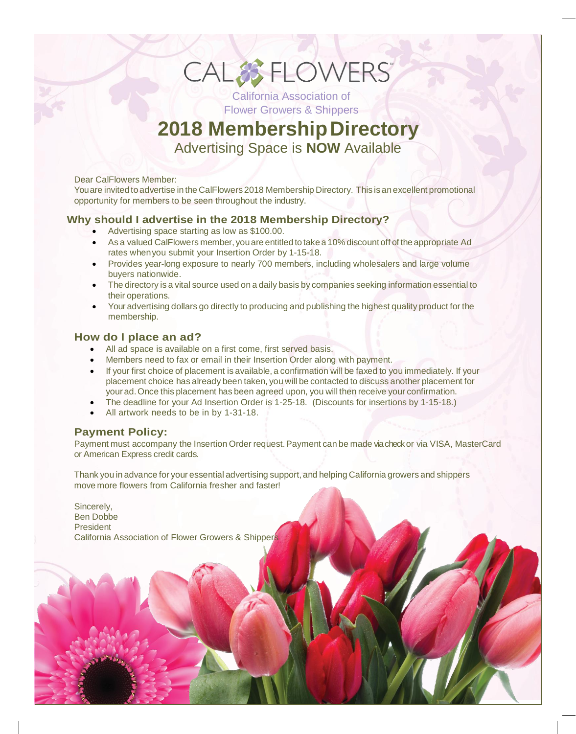# CAL& FLOWERS California Association of

Flower Growers & Shippers

# **2018 MembershipDirectory**

Advertising Space is **NOW** Available

#### Dear CalFlowers Member:

Youare invited to advertise in the CalFlowers 2018 Membership Directory. This is an excellent promotional opportunity for members to be seen throughout the industry.

#### **Why should I advertise in the 2018 Membership Directory?**

- Advertising space starting as low as \$100.00.
- As a valued CalFlowers member, you are entitled to take a 10% discount off of the appropriate Ad rates whenyou submit your Insertion Order by 1-15-18.
- Provides year-long exposure to nearly 700 members, including wholesalers and large volume buyers nationwide.
- The directory is a vital source used on a daily basis by companies seeking information essential to their operations.
- Your advertising dollars go directly to producing and publishing the highest quality product for the membership.

#### **How do I place an ad?**

- All ad space is available on a first come, first served basis.
- Members need to fax or email in their Insertion Order along with payment.
- If your first choice of placement is available, a confirmation will be faxed to you immediately. If your placement choice has already been taken, you will be contacted to discuss another placement for your ad. Once this placement has been agreed upon, you will then receive your confirmation.
- The deadline for your Ad Insertion Order is 1-25-18. (Discounts for insertions by 1-15-18.)
- All artwork needs to be in by 1-31-18.

#### **Payment Policy:**

Payment must accompany the Insertion Order request. Payment can be made via check or via VISA, MasterCard or American Express credit cards.

Thank you in advance for your essential advertising support, and helping California growers and shippers move more flowers from California fresher and faster!

Sincerely, Ben Dobbe President California Association of Flower Growers & Shipper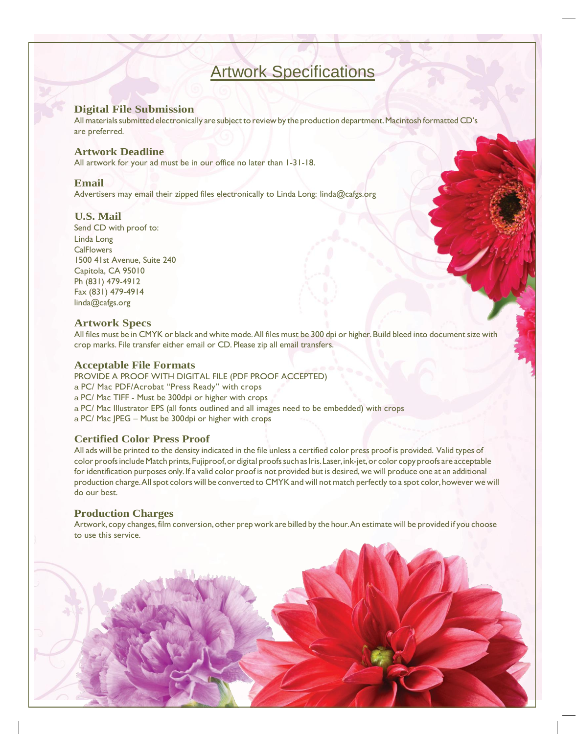### Artwork Specifications

#### **Digital File Submission**

All materials submitted electronically are subject to review by the production department. Macintosh formatted CD's are preferred.

#### **Artwork Deadline**

All artwork for your ad must be in our office no later than 1-31-18.

#### **Email**

Advertisers may email their zipped files electronically to Linda Long: [linda@cafgs.org](mailto:linda@cafgs.org)

#### **U.S. Mail**

Send CD with proof to: Linda Long **CalFlowers** 1500 41st Avenue, Suite 240 Capitola, CA 95010 Ph (831) 479-4912 Fax (831) 479-4914 [linda@cafgs.org](mailto:linda@cafgs.org)

#### **Artwork Specs**

All files must be in CMYK or black and white mode. All files must be 300 dpi or higher. Build bleed into document size with crop marks. File transfer either email or CD. Please zip all email transfers.

#### **Acceptable File Formats**

PROVIDE A PROOF WITH DIGITAL FILE (PDF PROOF ACCEPTED) a PC/ Mac PDF/Acrobat "Press Ready" with crops a PC/ Mac TIFF - Must be 300dpi or higher with crops a PC/ Mac Illustrator EPS (all fonts outlined and all images need to be embedded) with crops a PC/ Mac JPEG – Must be 300dpi or higher with crops

#### **Certified Color Press Proof**

All ads will be printed to the density indicated in the file unless a certified color press proof is provided. Valid types of color proofs include Match prints, Fujiproof, or digital proofs such as Iris. Laser, ink-jet, or color copy proofs are acceptable for identification purposes only. If a valid color proof is not provided but is desired, we will produce one at an additional production charge. All spot colors will be converted to CMYK and will not match perfectly to a spot color, however we will do our best.

#### **Production Charges**

Artwork, copy changes, film conversion,other prep work are billed by the hour.An estimate will be provided if you choose to use this service.